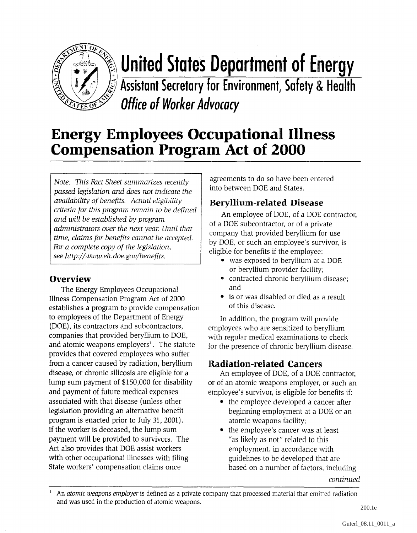

# **United States Department of Energy**

**Assistant Secretary for Environment, Safety** & **Health office of Worker Advocacy** 

### **Energy Employees Occupational Illness Compensation Program Act of 2000**

*Note: This Fact Sheet summarizes recently passed legislation and does not indicate the availability of benefits. Actual eligibility criteria for this pmgram remain to be defined and will be established by program administrators over the next year: Until that time, clainzs for benefits cannot be accepted.*  **fir** *a complete cop:y of the legislation, see http://~uww. eli:. doe.gou/benefits.* 

#### **Overview**

The Energy Employees Occupational Illness Compensation Program Act of 2000 establishes a program to provide compensation to employees of the Department of Energy (DOE), its contractors and subcontractors, companies that provided beryllium to DOE, and atomic weapons employers<sup>1</sup>. The statute provides that covered employees who suffer from a cancer caused by radiation, beryllium disease, or chronic silicosis are eligible for a lump sum payment of \$150,000 for disability and payment of future medical expenses associated with that disease (unless other legislation providing an alternative benefit program is enacted prior to July 31,2001). If the worker is deceased, the lump sum payment will be provided to survivors. The Act also provides that DOE assist workers with other occupational illnesses with filing State workers' compensation claims once

agreements to do so have been entered into between DOE and States.

#### **Beryllium-related Disease**

An employee of DOE, of a DOE contractor, of a DOE subcontractor, or of a private company that provided beryllium for use by DOE, or such an employee's sunrivor, is eligible for benefits if the employee:

- was exposed to beryllium at a DOE or beryllium-provider facility;
- contracted chronic beryllium disease; and
- is or was disabled or died as a result of this disease.

In addition, the program will provide employees who are sensitized to beryllium with regular medical examinations to check for the presence of chronic beryllium disease.

#### **]Radiation-related Cancers**

An employee of DOE, of a DOE contractor, or of an atomic weapons employer, or such an employee's survivor, is eligible for benefits if:

- the employee developed a cancer after beginning employment at a DOE or an atomic weapons facility.;
- the employee's cancer was at least "as likely as not" related to this employment, in accordance with guidelines to be developed that are based on a number of factors, including

*continued* 

<sup>&</sup>lt;sup>1</sup> An *atomic weapons employer* is defined as a private company that processed material that emitted radiation and was used in the production of atomic weapons.